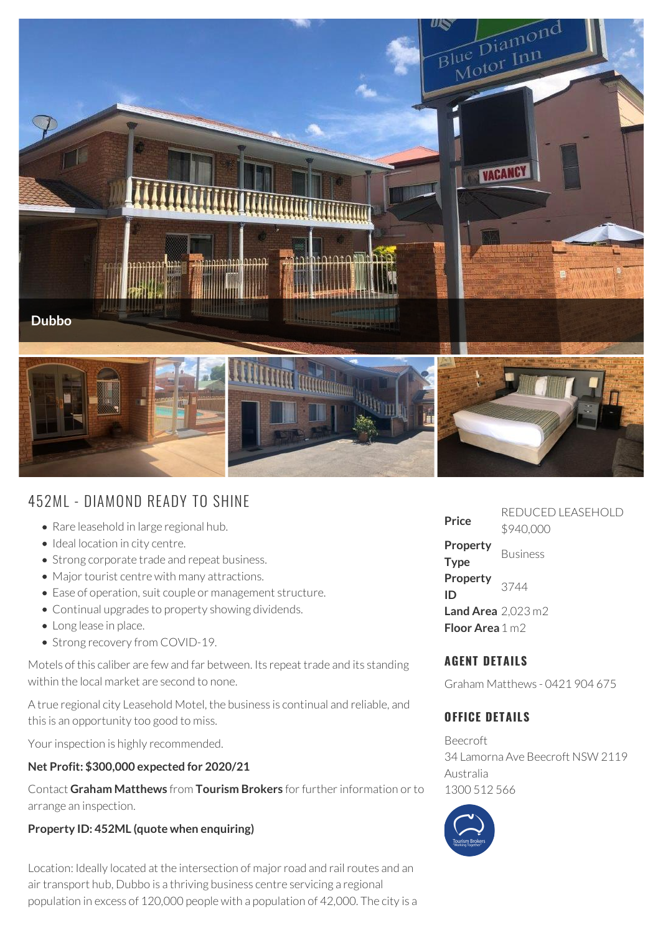

# 452ML - DIAMOND READY TO SHINE

- Rare leasehold in large regional hub.
- Ideal location in city centre.
- Strong corporate trade and repeat business.
- Major tourist centre with many attractions.
- Ease of operation, suit couple or management structure.
- Continual upgrades to property showing dividends.
- Long lease in place.
- Strong recovery from COVID-19.

Motels of this caliber are few and far between. Its repeat trade and its standing within the local market are second to none.

A true regional city Leasehold Motel, the business is continual and reliable, and this is an opportunity too good to miss.

Your inspection is highly recommended.

#### **Net Profit: \$300,000 expected for 2020/21**

Contact **Graham Matthews** from **Tourism Brokers** for further information or to arrange an inspection.

#### **Property ID: 452ML (quote when enquiring)**

Location: Ideally located at the intersection of major road and rail routes and an air transport hub, Dubbo is a thriving business centre servicing a regional population in excess of 120,000 people with a population of 42,000. The city is a

| Price                           | . . <i>.</i> . <i>.</i><br>\$940,000 |
|---------------------------------|--------------------------------------|
| Property<br><b>Type</b>         | <b>Business</b>                      |
| Property<br>ID                  | 3744                                 |
| Land Area $2,023 \text{ m}2$    |                                      |
| <b>Floor Area</b> $1 \text{ m}$ |                                      |

**Price** REDUCED LEASEHOLD

## **AGENT DETAILS**

Graham Matthews - 0421 904 675

### **OFFICE DETAILS**

Beecroft 34 Lamorna Ave Beecroft NSW 2119 Australia 1300 512 566